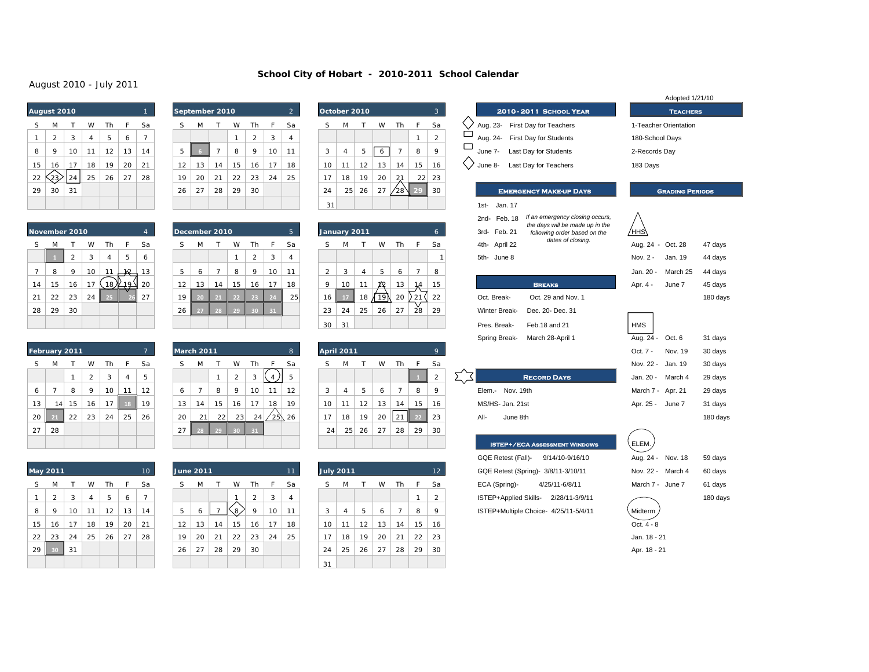### **School City of Hobart - 2010-2011 School Calendar**

### August 2010 - July 2011

|    | August 2010    |    |    |    |    | $\mathbf{1}$ |    |
|----|----------------|----|----|----|----|--------------|----|
| S  | M              | т  | W  | Th | F  | Sa           | S  |
| 1  | $\overline{2}$ | 3  | 4  | 5  | 6  | 7            |    |
| 8  | 9              | 10 | 11 | 12 | 13 | 14           | 5  |
| 15 | 16             | 17 | 18 | 19 | 20 | 21           | 12 |
| 22 |                | 24 | 25 | 26 | 27 | 28           | 19 |
| 29 | 30             | 31 |    |    |    |              | 26 |
|    |                |    |    |    |    |              |    |

|    | August 2010' |    |    |    |    |    |    |    | September 2010 |    |    |    | $\overline{2}$ | October 2010 |    |    |    |    |    |  |
|----|--------------|----|----|----|----|----|----|----|----------------|----|----|----|----------------|--------------|----|----|----|----|----|--|
|    | M            |    | W  | Th | F  | Sa |    | M  |                | W  | Th | F  | Sa             | S            | м  |    | W  | Th | F  |  |
|    | 2            | 3  | 4  | 5  | 6  |    |    |    |                |    | ∍  | 3  | 4              |              |    |    |    |    |    |  |
| 8  | 9            | 10 | 11 | 12 | 13 | 14 | 5  |    | ⇁              | 8  | 9  | 10 | 11             | 3            | 4  | 5  | O  |    | 8  |  |
| 15 | 16           | 17 | 18 | 19 | 20 | 21 | 12 | 13 | 14             | 15 | 16 | 17 | 18             | 10           | 11 | 12 | 13 | 14 | 15 |  |
| 22 | 23⁄          | 24 | 25 | 26 | 27 | 28 | 19 | 20 | 21             | 22 | 23 | 24 | 25             | 17           | 18 | 19 | 20 | 21 | 22 |  |
| 29 | 30           | 31 |    |    |    |    | 26 | 27 | 28             | 29 | 30 |    |                | 24           | 25 | 26 | 27 | 28 | 29 |  |
|    |              |    |    |    |    |    |    |    |                |    |    |    |                | 31           |    |    |    |    |    |  |

|    | December 2010 |                |    |                |    | 5  |  |
|----|---------------|----------------|----|----------------|----|----|--|
| S  | M             | Т              | W  | Th             | F  | Sa |  |
|    |               |                | 1  | $\overline{2}$ | 3  | 4  |  |
| 5  | 6             | $\overline{7}$ | 8  | 9              | 10 | 11 |  |
| 12 | 13            | 14             | 15 | 16             | 17 | 18 |  |
| 19 | 20            | 21             | 22 | 23             | 24 | 25 |  |
| 26 | 27            | 28             | 29 | 30             | 31 |    |  |
|    |               |                |    |                |    |    |  |

| October 2010 |                |    |    |                |    | 3  | 2010            |
|--------------|----------------|----|----|----------------|----|----|-----------------|
| S            | M              |    | W  | Th             | F  | Sa | Aug. 23- Fir    |
|              |                |    |    |                |    | 2  | Aug. 24- Fir    |
| 3            | $\overline{4}$ | 5  | 6  | $\overline{7}$ | 8  | 9  | La:<br>June 7-  |
| 10           | 11             | 12 | 13 | 14             | 15 | 16 | La:<br>June 8-  |
| 17           | 18             | 19 | 20 | 21             | 22 | 23 |                 |
| 24           | 25             | 26 | 27 | 28             | 29 | 30 | <b>EMER</b>     |
| 31           |                |    |    |                |    |    | Jan. 17<br>1st- |

| ovember 2010        |    |        |    |          | $\overline{4}$ |    | December 2010 |    |    |         |                | 5  | January 2011  |    |            |      |    |     | 6  | 3rd- Feb. 21         | ule days will be it.<br>following order b |
|---------------------|----|--------|----|----------|----------------|----|---------------|----|----|---------|----------------|----|---------------|----|------------|------|----|-----|----|----------------------|-------------------------------------------|
| S.<br>M             |    | W      | Th |          | Sa             |    | M             |    | W  | Th      | <b>F</b>       | Sa | S             | M  |            | W    | Th |     | Sa | 4th- April 22        | dates of cl                               |
|                     | 2  | $\sim$ | 4  | 5        | 6              |    |               |    |    | 2       | 3              | 4  |               |    |            |      |    |     |    | 5th- June 8          |                                           |
| $\overline{7}$<br>8 | 9  | 10     | 11 | 1v2      | 13             | 5  | 6             |    | 8  | $\circ$ | 10             | 11 | $\mathcal{L}$ | 3  | 4          | 5    | 6  |     | 8  |                      |                                           |
| 15<br>14            | 16 | 17     |    | . 18儿19긔 | 20             | 12 | 13            | 14 | 15 | 16      | 17             | 18 | $\mathbf Q$   | 10 | 11         | 72   | 13 | 1.4 | 15 |                      | <b>BREAKS</b>                             |
| 21<br>22            | 23 | 24     | 25 |          | 27             | 19 |               |    |    | 25      |                | 25 | 16            |    | 18<br>- 71 | 19 N | 20 | 21  | 22 | Oct. Break-          | Oct. 29 and No                            |
| 29<br>28            | 30 |        |    |          |                | 26 | 27            | 28 | 29 | 30      | $\parallel$ 31 |    | 23            | 24 | 25         | 26   | 27 | 28  | 29 | <b>Winter Break-</b> | Dec. 20- Dec. 31                          |
|                     |    |        |    |          |                |    |               |    |    |         |                |    | 30            | 31 |            |      |    |     |    | Pres. Break-         | Feb. 18 and 21                            |

|    | <b>April 2011</b> |    |    |                |    | 9  |
|----|-------------------|----|----|----------------|----|----|
| S  | M                 | т  | W  | Th             | F. | Sa |
|    |                   |    |    |                |    | 2  |
| 3  | $\overline{4}$    | 5  | 6  | $\overline{7}$ | 8  | 9  |
| 10 | 11                | 12 | 13 | 14             | 15 | 16 |
| 17 | 18                | 19 | 20 | 21             | 22 | 23 |
| 24 | 25                | 26 | 27 | 28             | 29 | 30 |
|    |                   |    |    |                |    |    |

|             |                |                            |          |          | $10^{\circ}$ |          |   |                |                |                                    |                     |                | 11' |    |   |                      |          |                                    |                |                | 12 <sub>2</sub> |
|-------------|----------------|----------------------------|----------|----------|--------------|----------|---|----------------|----------------|------------------------------------|---------------------|----------------|-----|----|---|----------------------|----------|------------------------------------|----------------|----------------|-----------------|
| M           |                | W                          | Th       | F        | Sa           |          | S | M              |                | W                                  | Th                  | F              | Sa  |    | S | M                    |          | W                                  | Th             | F              | Sa              |
| C           | 3              | 4                          | 5        | 6        | ⇁            |          |   |                |                |                                    | $\mathfrak{p}$      | 3              | 4   |    |   |                      |          |                                    |                | ×.             | $\mathfrak{p}$  |
| $\mathsf o$ | 10             | 11                         | 12       | 13       | 14           |          | 5 | 6              |                |                                    | 9                   | 10             | 11  |    | 3 | 4                    | 5        | 6                                  |                | 8              | 9               |
|             |                |                            |          |          |              |          |   |                |                |                                    |                     | 17             | 18  |    |   | 11                   |          |                                    |                |                | 16              |
|             |                |                            |          |          |              |          |   |                |                |                                    |                     |                |     |    |   |                      |          |                                    |                |                | 23              |
|             |                |                            |          |          |              |          |   |                |                |                                    |                     |                |     |    |   |                      |          |                                    |                |                | 30              |
|             |                |                            |          |          |              |          |   |                |                |                                    |                     |                |     |    |   |                      |          |                                    |                |                |                 |
|             | 16<br>23<br>30 | lay 2011<br>17<br>24<br>31 | 18<br>25 | 19<br>26 | 20<br>27     | 21<br>28 |   | 12<br>19<br>26 | 13<br>20<br>27 | <b>June 2011</b><br>14<br>21<br>28 | 8<br>15<br>22<br>29 | 16<br>23<br>30 | 24  | 25 |   | 10<br>17<br>24<br>31 | 18<br>25 | <b>July 2011</b><br>12<br>19<br>26 | 13<br>20<br>27 | 14<br>21<br>28 | 15<br>22<br>29  |

|                | August 2010 - July 2011 |                |                |                 |                |                 |    |                   |                |                     |                |                |                |                |                   |                |            |                |                |                |        |      |                  |                                                                    |              |                        |          |
|----------------|-------------------------|----------------|----------------|-----------------|----------------|-----------------|----|-------------------|----------------|---------------------|----------------|----------------|----------------|----------------|-------------------|----------------|------------|----------------|----------------|----------------|--------|------|------------------|--------------------------------------------------------------------|--------------|------------------------|----------|
|                |                         |                |                |                 |                |                 |    |                   |                |                     |                |                |                |                |                   |                |            |                |                |                |        |      |                  |                                                                    |              | Adopted 1/21/10        |          |
|                | August 2010             |                |                |                 |                | $\mathbf{1}$    |    | September 2010    |                |                     |                |                | $\overline{2}$ |                | October 2010      |                |            |                |                | $\overline{3}$ |        |      |                  | 2010-2011 SCHOOL YEAR                                              |              | <b>TEACHERS</b>        |          |
| S              | M                       | $\mathsf{T}$   | W              | Th              | F              | Sa              | S  | M                 | T              | W                   | Th             | F              | Sa             | S              | M                 | $\mathsf{T}$   | W          | Th             | $\mathsf{F}$   | Sa             | $\Box$ |      |                  | Aug. 23- First Day for Teachers                                    |              | 1-Teacher Orientation  |          |
| $\mathbf{1}$   | 2                       | 3              | $\overline{4}$ | 5               | 6              | $\overline{7}$  |    |                   |                | $\mathbf{1}$        | 2              | 3              | $\overline{4}$ |                |                   |                |            |                | $\mathbf{1}$   | $\overline{2}$ | □      |      |                  | Aug. 24- First Day for Students                                    |              | 180-School Days        |          |
| 8              | 9                       | 10             | 11             | 12              | 13             | 14              | 5  |                   | $\overline{7}$ | 8                   | 9              | 10             | 11             | 3              | $\overline{4}$    | 5              | $\epsilon$ | $\overline{7}$ | 8              | 9              |        |      |                  | June 7- Last Day for Students                                      |              | 2-Records Day          |          |
| 15             | 16                      | 17             | 18             | 19              | 20             | 21              | 12 | 13                | 14             | 15                  | 16             | 17             | 18             | 10             | 11                | 12             | 13         | 14             | 15             | 16             |        |      |                  | June 8- Last Day for Teachers                                      | 183 Days     |                        |          |
| 22             | $-23$                   | 24             | 25             | 26              | 27             | 28              | 19 | 20                | 21             | 22                  | 23             | 24             | 25             | 17             | 18                | 19             | 20         | 2,1            | 22             | 23             |        |      |                  |                                                                    |              |                        |          |
| 29             | 30                      | 31             |                |                 |                |                 | 26 | 27                | 28             | 29                  | 30             |                |                | 24             | 25                | 26             | 27         | '28'           | 29             | 30             |        |      |                  | <b>EMERGENCY MAKE-UP DAYS</b>                                      |              | <b>GRADING PERIODS</b> |          |
|                |                         |                |                |                 |                |                 |    |                   |                |                     |                |                |                | 31             |                   |                |            |                |                |                |        |      | 1st- Jan. 17     |                                                                    |              |                        |          |
|                |                         |                |                |                 |                |                 |    |                   |                |                     |                |                |                |                |                   |                |            |                |                |                |        |      | 2nd- Feb. 18     | If an emergency closing occurs,<br>the days will be made up in the |              |                        |          |
|                | November 2010           |                |                |                 |                | $\overline{4}$  |    | December 2010     |                |                     |                |                | 5 <sup>1</sup> |                | January 2011      |                |            |                |                | 6              |        |      | 3rd- Feb. 21     | following order based on the                                       | ∕ннѕ∖        |                        |          |
| S              | M                       | $\mathsf{T}$   | W              | Th              | F              | Sa              | S  | M                 | $\mathsf{T}$   | W                   | Th             | F              | Sa             | S              | M                 | $\mathsf{T}$   | W          | Th             | $\mathsf{F}$   | Sa             |        |      | 4th- April 22    | dates of closing.                                                  |              | Aug. 24 - Oct. 28      | 47 days  |
|                |                         | $\overline{2}$ | 3              | $\overline{4}$  | 5              | 6               |    |                   |                | $\mathbf{1}$        | $\overline{2}$ | 3              | $\overline{4}$ |                |                   |                |            |                |                | $\mathbf{1}$   |        |      | 5th- June 8      |                                                                    | Nov. 2 -     | Jan. 19                | 44 days  |
| $\overline{7}$ | 8                       | 9              | 10             | 11              | 12             | 13              | 5  | 6                 | $\overline{7}$ | 8                   | 9              | 10             | 11             | $\overline{2}$ | 3                 | $\overline{4}$ | 5          | 6              | $\overline{7}$ | 8              |        |      |                  |                                                                    | Jan. 20 -    | March 25               | 44 days  |
| 14             | 15                      | 16             | 17             | 18 <sub>2</sub> | 19             | 20              | 12 | 13                | 14             | 15                  | 16             | 17             | 18             | 9              | 10                | 11             | 72         | 13             | 1,4            | 15             |        |      |                  | <b>BREAKS</b>                                                      | Apr. 4 -     | June 7                 | 45 days  |
| 21             | 22                      | 23             | 24             |                 |                | 27              | 19 |                   |                |                     | 23             |                | 25             | 16             | 17                | 18             | -19)       | 20             | 21 (           | 22             |        |      | Oct. Break-      | Oct. 29 and Nov. 1                                                 |              |                        | 180 days |
| 28             | 29                      | 30             |                |                 |                |                 | 26 |                   |                |                     |                |                |                | 23             | 24                | 25             | 26         | 27             | 28             | 29             |        |      | Winter Break-    | Dec. 20- Dec. 31                                                   |              |                        |          |
|                |                         |                |                |                 |                |                 |    |                   |                |                     |                |                |                | 30             | 31                |                |            |                |                |                |        |      | Pres. Break-     | Feb. 18 and 21                                                     | <b>HMS</b>   |                        |          |
|                |                         |                |                |                 |                |                 |    |                   |                |                     |                |                |                |                |                   |                |            |                |                |                |        |      | Spring Break-    | March 28-April 1                                                   | Aug. 24 -    | Oct. 6                 | 31 days  |
|                | February 2011           |                |                |                 |                | $\overline{7}$  |    | <b>March 2011</b> |                |                     |                |                | 8              |                | <b>April 2011</b> |                |            |                |                | 9              |        |      |                  |                                                                    | Oct. 7 -     | Nov. 19                | 30 days  |
| S              | M                       | $\top$         | W              | Th              | F              | Sa              | S  | M                 | T              | W                   | Th             | F              | Sa             | S              | M                 | T              | W          | Th             | -F             | Sa             |        |      |                  |                                                                    | Nov. 22 -    | Jan. 19                | 30 days  |
|                |                         | $\mathbf{1}$   | $\overline{2}$ | 3               | $\overline{4}$ | 5               |    |                   | $\mathbf{1}$   | $\overline{2}$      | 3              | $\overline{4}$ | 5              |                |                   |                |            |                |                | $\overline{2}$ | 入了     |      |                  | <b>RECORD DAYS</b>                                                 | Jan. 20 -    | March 4                | 29 days  |
| 6              | 7                       | 8              | 9              | 10              | 11             | 12              | 6  | 7                 | 8              | 9                   | 10             | 11             | 12             | 3              | 4                 | 5              | 6          | $\overline{7}$ | 8              | 9              |        |      |                  | Elem.- Nov. 19th                                                   | March 7 -    | Apr. 21                | 29 days  |
| 13             | 14                      | 15             | 16             | 17              | 18             | 19              | 13 | 14                | 15             | 16                  | 17             | 18             | 19             | 10             | 11                | 12             | 13         | 14             | 15             | 16             |        |      | MS/HS- Jan. 21st |                                                                    |              | Apr. 25 - June 7       | 31 days  |
| 20             |                         | 22             | 23             | 24              | 25             | 26              | 20 | 21                | 22             | 23                  | 24             | $25 \times 26$ |                | 17             | 18                | 19             | 20         | 21             | 22             | 23             |        | All- |                  | June 8th                                                           |              |                        | 180 days |
| 27             | 28                      |                |                |                 |                |                 | 27 |                   |                |                     |                |                |                |                | 24<br>25          | 26             | 27         | 28             | 29             | 30             |        |      |                  |                                                                    |              |                        |          |
|                |                         |                |                |                 |                |                 |    |                   |                |                     |                |                |                |                |                   |                |            |                |                |                |        |      |                  | <b>ISTEP+/ECA ASSESSMENT WINDOWS</b>                               | ELEM.        |                        |          |
|                |                         |                |                |                 |                |                 |    |                   |                |                     |                |                |                |                |                   |                |            |                |                |                |        |      |                  | 9/14/10-9/16/10<br>GQE Retest (Fall)-                              |              | Aug. 24 - Nov. 18      | 59 days  |
|                | May 2011                |                |                |                 |                | 10 <sup>°</sup> |    | <b>June 2011</b>  |                |                     |                |                | 11             |                | <b>July 2011</b>  |                |            |                |                | 12             |        |      |                  | GQE Retest (Spring)- 3/8/11-3/10/11                                | Nov. 22 -    | March 4                | 60 days  |
| S              | M                       | T              | W              | Th              | F              | Sa              | S  | M                 | T              | W                   | Th             | F              | Sa             | S              | M                 | Т              | W          | Th             | $\mathsf{F}$   | Sa             |        |      | ECA (Spring)-    | 4/25/11-6/8/11                                                     |              | March 7 - June 7       | 61 days  |
| 1              | $\sqrt{2}$              | 3              | 4              | $\,$ 5 $\,$     | 6              | $\overline{7}$  |    |                   |                | -1                  | $\overline{a}$ | 3              | 4              |                |                   |                |            |                | $\mathbf{1}$   | $\overline{2}$ |        |      |                  | ISTEP+Applied Skills-<br>2/28/11-3/9/11                            |              |                        | 180 days |
| 8              | 9                       | 10             | 11             | 12              | 13             | 14              | 5  | 6                 | $\overline{7}$ | $\langle 8 \rangle$ | 9              | 10             | 11             | 3              | 4                 | 5              | 6          | $\overline{7}$ | 8              | 9              |        |      |                  | ISTEP+Multiple Choice- 4/25/11-5/4/11                              | Midterm      |                        |          |
| 15             | 16                      | 17             | 18             | 19              | 20             | 21              | 12 | 13                | 14             | 15                  | 16             | 17             | 18             | 10             | 11                | 12             | 13         | 14             | 15             | 16             |        |      |                  |                                                                    | Oct. 4 - 8   |                        |          |
| 22             | 23                      | 24             | 25             | 26              | 27             | 28              | 19 | 20                | 21             | 22                  | 23             | 24             | 25             | 17             | 18                | 19             | 20         | 21             | 22             | 23             |        |      |                  |                                                                    | Jan. 18 - 21 |                        |          |
| 29             | 30                      | 31             |                |                 |                |                 | 26 | 27                | 28             | 29                  | 30             |                |                | 24             | 25                | 26             | 27         | 28             | 29             | 30             |        |      |                  |                                                                    | Apr. 18 - 21 |                        |          |
|                |                         |                |                |                 |                |                 |    |                   |                |                     |                |                |                | 31             |                   |                |            |                |                |                |        |      |                  |                                                                    |              |                        |          |
|                |                         |                |                |                 |                |                 |    |                   |                |                     |                |                |                |                |                   |                |            |                |                |                |        |      |                  |                                                                    |              |                        |          |

|                   | <b>GRADING PERIODS</b> |          |
|-------------------|------------------------|----------|
|                   |                        |          |
| Aug. 24 - Oct. 28 |                        | 47 days  |
| Nov. 2 -          | Jan. 19                | 44 days  |
| Jan. 20 -         | March 25               | 44 days  |
| Apr. 4 -          | June 7                 | 45 days  |
|                   |                        | 180 days |
|                   |                        |          |

| $-1MS$            |         |          |
|-------------------|---------|----------|
| Aug. 24 -         | Oct. 6  | 31 days  |
| Oct. 7 -          | Nov. 19 | 30 days  |
| Vov. 22 -         | Jan. 19 | 30 days  |
| Jan. 20 -         | March 4 | 29 days  |
| March 7 - Apr. 21 |         | 29 days  |
| Apr. 25 - June 7  |         | 31 days  |
|                   |         | 180 days |
|                   |         |          |

|                 | November 2010 |    |    |    |     | 4  | ۱e |
|-----------------|---------------|----|----|----|-----|----|----|
| S               | M             | т  | W  | Th | F   | Sa | S  |
|                 |               | 2  | 3  | 4  | 5   | 6  |    |
| $7\overline{ }$ | 8             | 9  | 10 | 11 | 1/0 | 13 | 5  |
| 14              | 15            | 16 | 17 | 18 |     | 20 | 12 |
| 21              | 22            | 23 | 24 | フェ |     | 27 | 19 |
| 28              | 29            | 30 |    |    |     |    | 26 |
|                 |               |    |    |    |     |    |    |

| February 2011 |                |    |    |    |    | 7  |    | <b>March 2011</b> |    |                |    |    | 8  |
|---------------|----------------|----|----|----|----|----|----|-------------------|----|----------------|----|----|----|
| S             | M              |    | W  | Th | F  | Sa | S  | M                 | Τ  | W              | Th | F  | Sa |
|               |                | 1  | 2  | 3  | 4  | 5  |    |                   | 1  | $\overline{2}$ | 3  |    | 5  |
| 6             | $\overline{7}$ | 8  | 9  | 10 | 11 | 12 | 6  | 7                 | 8  | 9              | 10 | 11 | 12 |
| 13            | 14             | 15 | 16 | 17 | 18 | 19 | 13 | 14                | 15 | 16             | 17 | 18 | 19 |
| 20            | 21             | 22 | 23 | 24 | 25 | 26 | 20 | 21                | 22 | 23             | 24 | 25 | 26 |
| 27            | 28             |    |    |    |    |    | 27 | 28                | 29 | 30             | 31 |    |    |
|               |                |    |    |    |    |    |    |                   |    |                |    |    |    |

| May 2011 |
|----------|

| M  | т  | W              | Th | F. | Sa |
|----|----|----------------|----|----|----|
| 2  | 3  | $\overline{4}$ | 5  | 6  | 7  |
| 9  | 10 | 11             | 12 | 13 | 14 |
| 16 | 17 | 18             | 19 | 20 | 21 |
| 23 | 24 | 25             | 26 | 27 | 28 |
|    |    |                |    |    |    |
|    |    |                |    |    |    |
|    | 30 | 31             |    |    |    |

| June 2011 |    |                |    |    |    | Ш<br>Ш |
|-----------|----|----------------|----|----|----|--------|
| S         | M  | т              | W  | Th | F  | Sa     |
|           |    |                |    | 2  | 3  | 4      |
| 5         | 6  | $\overline{7}$ | 8  | 9  | 10 | 11     |
| 12        | 13 | 14             | 15 | 16 | 17 | 18     |
| 19        | 20 | 21             | 22 | 23 | 24 | 25     |
| 26        | 27 | 28             | 29 | 30 |    |        |
|           |    |                |    |    |    |        |